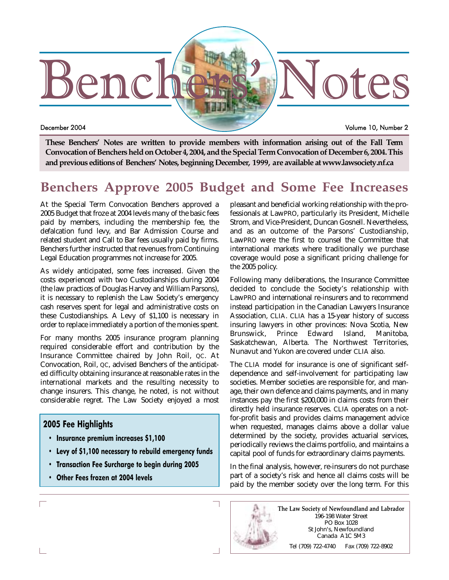

December 2004 Volume 10, Number 2

**These Benchers' Notes are written to provide members with information arising out of the Fall Term Convocation of Benchers held on October 4, 2004, and the Special Term Convocation of December 6, 2004. This and previous editions of Benchers' Notes, beginning December, 1999, are available at www.lawsociety.nf.ca**

## **Benchers Approve 2005 Budget and Some Fee Increases**

At the Special Term Convocation Benchers approved a 2005 Budget that froze at 2004 levels many of the basic fees paid by members, including the membership fee, the defalcation fund levy, and Bar Admission Course and related student and Call to Bar fees usually paid by firms. Benchers further instructed that revenues from Continuing Legal Education programmes not increase for 2005.

As widely anticipated, some fees increased. Given the costs experienced with two Custodianships during 2004 (the law practices of Douglas Harvey and William Parsons), it is necessary to replenish the Law Society's emergency cash reserves spent for legal and administrative costs on these Custodianships. A Levy of \$1,100 is necessary in order to replace immediately a portion of the monies spent.

For many months 2005 insurance program planning required considerable effort and contribution by the Insurance Committee chaired by John Roil, QC. At Convocation, Roil, QC, advised Benchers of the anticipated difficulty obtaining insurance at reasonable rates in the international markets and the resulting necessity to change insurers. This change, he noted, is not without considerable regret. The Law Society enjoyed a most

## **2005 Fee Highlights**

- **Insurance premium increases \$1,100**
- **Levy of \$1,100 necessary to rebuild emergency funds**
- **Transaction Fee Surcharge to begin during 2005**
- **Other Fees frozen at 2004 levels**

pleasant and beneficial working relationship with the professionals at LawPRO, particularly its President, Michelle Strom, and Vice-President, Duncan Gosnell. Nevertheless, and as an outcome of the Parsons' Custodianship, LawPRO were the first to counsel the Committee that international markets where traditionally we purchase coverage would pose a significant pricing challenge for the 2005 policy.

Following many deliberations, the Insurance Committee decided to conclude the Society's relationship with LawPRO and international re-insurers and to recommend instead participation in the Canadian Lawyers Insurance Association, CLIA. CLIA has a 15-year history of success insuring lawyers in other provinces: Nova Scotia, New Brunswick, Prince Edward Island, Manitoba, Saskatchewan, Alberta. The Northwest Territories, Nunavut and Yukon are covered under CLIA also.

The CLIA model for insurance is one of significant selfdependence and self-involvement for participating law societies. Member societies are responsible for, and manage, their own defence and claims payments, and in many instances pay the first \$200,000 in claims costs from their directly held insurance reserves. CLIA operates on a notfor-profit basis and provides claims management advice when requested, manages claims above a dollar value determined by the society, provides actuarial services, periodically reviews the claims portfolio, and maintains a capital pool of funds for extraordinary claims payments.

In the final analysis, however, re-insurers do not purchase part of a society's risk and hence all claims costs will be paid by the member society over the long term. For this

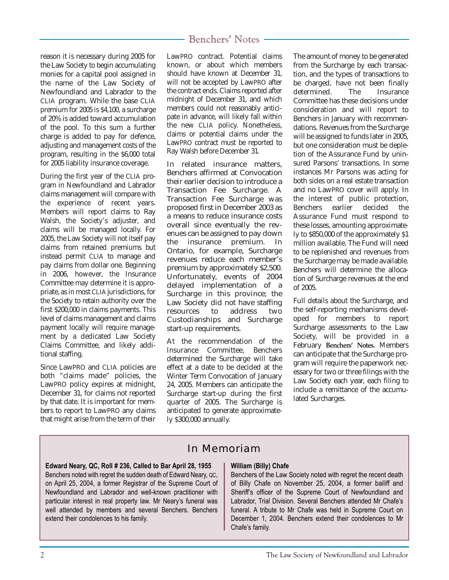reason it is necessary during 2005 for the Law Society to begin accumulating monies for a capital pool assigned in the name of the Law Society of Newfoundland and Labrador to the CLIA program. While the base CLIA premium for 2005 is \$4,100, a surcharge of 20% is added toward accumulation of the pool. To this sum a further charge is added to pay for defence, adjusting and management costs of the program, resulting in the \$6,000 total for 2005 liability insurance coverage.

During the first year of the CLIA program in Newfoundland and Labrador claims management will compare with the experience of recent years. Members will report claims to Ray Walsh, the Society's adjuster, and claims will be managed locally. For 2005, the Law Society will not itself pay claims from retained premiums but instead permit CLIA to manage and pay claims from dollar one. Beginning in 2006, however, the Insurance Committee may determine it is appropriate, as in most CLIA jurisdictions, for the Society to retain authority over the first \$200,000 in claims payments. This level of claims management and claims payment locally will require management by a dedicated Law Society Claims Committee, and likely additional staffing.

Since LawPRO and CLIA policies are both "claims made" policies, the LawPRO policy expires at midnight, December 31, for claims not reported by that date. It is important for members to report to LawPRO any claims that might arise from the term of their LawPRO contract. Potential claims known, or about which members should have known at December 31, will not be accepted by LawPRO after the contract ends. Claims reported after midnight of December 31, and which members could not reasonably anticipate in advance, will likely fall within the new CLIA policy. Nonetheless, claims or potential claims under the LawPRO contract must be reported to Ray Walsh before December 31.

In related insurance matters, Benchers affirmed at Convocation their earlier decision to introduce a Transaction Fee Surcharge. A Transaction Fee Surcharge was proposed first in December 2003 as a means to reduce insurance costs overall since eventually the revenues can be assigned to pay down the insurance premium. In Ontario, for example, Surcharge revenues reduce each member's premium by approximately \$2,500. Unfortunately, events of 2004 delayed implementation of a Surcharge in this province; the Law Society did not have staffing resources to address two Custodianships and Surcharge start-up requirements.

At the recommendation of the Insurance Committee, Benchers determined the Surcharge will take effect at a date to be decided at the Winter Term Convocation of January 24, 2005. Members can anticipate the Surcharge start-up during the first quarter of 2005. The Surcharge is anticipated to generate approximately \$300,000 annually.

The amount of money to be generated from the Surcharge by each transaction, and the types of transactions to be charged, have not been finally determined. The Insurance Committee has these decisions under consideration and will report to Benchers in January with recommendations. Revenues from the Surcharge will be assigned to funds later in 2005, but one consideration must be depletion of the Assurance Fund by uninsured Parsons' transactions. In some instances Mr Parsons was acting for both sides on a real estate transaction and no LawPRO cover will apply. In the interest of public protection, Benchers earlier decided the Assurance Fund must respond to these losses, amounting approximately to \$850,000 of the approximately \$1 million available. The Fund will need to be replenished and revenues from the Surcharge may be made available. Benchers will determine the allocation of Surcharge revenues at the end of 2005.

Full details about the Surcharge, and the self-reporting mechanisms developed for members to report Surcharge assessments to the Law Society, will be provided in a February **Benchers' Notes.** Members can anticipate that the Surcharge program will require the paperwork necessary for two or three filings with the Law Society each year, each filing to include a remittance of the accumulated Surcharges.

## In Memoriam

#### **Edward Neary, QC, Roll # 236, Called to Bar April 28, 1955**

Benchers noted with regret the sudden death of Edward Neary, QC, on April 25, 2004, a former Registrar of the Supreme Court of Newfoundland and Labrador and well-known practitioner with particular interest in real property law. Mr Neary's funeral was well attended by members and several Benchers. Benchers extend their condolences to his family.

#### **William (Billy) Chafe**

Benchers of the Law Society noted with regret the recent death of Billy Chafe on November 25, 2004, a former bailiff and Sheriff's officer of the Supreme Court of Newfoundland and Labrador, Trial Division. Several Benchers attended Mr Chafe's funeral. A tribute to Mr Chafe was held in Supreme Court on December 1, 2004. Benchers extend their condolences to Mr Chafe's family.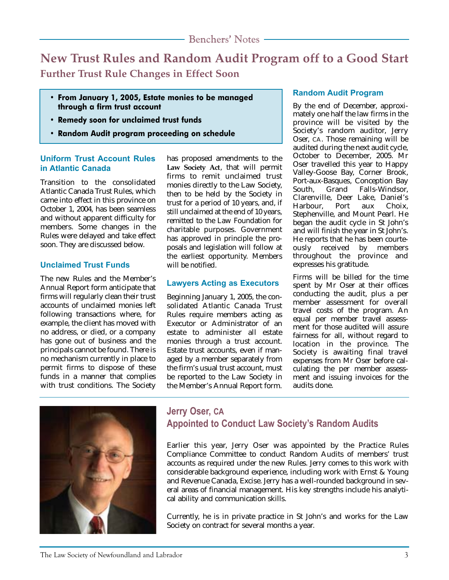**New Trust Rules and Random Audit Program off to a Good Start Further Trust Rule Changes in Effect Soon**

- **From January 1, 2005, Estate monies to be managed through a firm trust account**
- **Remedy soon for unclaimed trust funds**
- **Random Audit program proceeding on schedule**

## **Uniform Trust Account Rules in Atlantic Canada**

Transition to the consolidated Atlantic Canada Trust Rules, which came into effect in this province on October 1, 2004, has been seamless and without apparent difficulty for members. Some changes in the Rules were delayed and take effect soon. They are discussed below.

## **Unclaimed Trust Funds**

The new Rules and the Member's Annual Report form anticipate that firms will regularly clean their trust accounts of unclaimed monies left following transactions where, for example, the client has moved with no address, or died, or a company has gone out of business and the principals cannot be found. There is no mechanism currently in place to permit firms to dispose of these funds in a manner that complies with trust conditions. The Society

has proposed amendments to the **Law Society Act**, that will permit firms to remit unclaimed trust monies directly to the Law Society, then to be held by the Society in trust for a period of 10 years, and, if still unclaimed at the end of 10 years, remitted to the Law Foundation for charitable purposes. Government has approved in principle the proposals and legislation will follow at the earliest opportunity. Members will be notified.

## **Lawyers Acting as Executors**

Beginning January 1, 2005, the consolidated Atlantic Canada Trust Rules require members acting as Executor or Administrator of an estate to administer all estate monies through a trust account. Estate trust accounts, even if managed by a member separately from the firm's usual trust account, must be reported to the Law Society in the Member's Annual Report form.

## **Random Audit Program**

By the end of December, approximately one half the law firms in the province will be visited by the Society's random auditor, Jerry Oser, CA. Those remaining will be audited during the next audit cycle, October to December, 2005. Mr Oser travelled this year to Happy Valley-Goose Bay, Corner Brook, Port-aux-Basques, Conception Bay South, Grand Falls-Windsor, Clarenville, Deer Lake, Daniel's<br>Harbour, Port aux Choix, Harbour, Port aux Choix, Stephenville, and Mount Pearl. He began the audit cycle in St John's and will finish the year in St John's. He reports that he has been courteously received by members throughout the province and expresses his gratitude.

Firms will be billed for the time spent by Mr Oser at their offices conducting the audit, plus a per member assessment for overall travel costs of the program. An equal per member travel assessment for those audited will assure fairness for all, without regard to location in the province. The Society is awaiting final travel expenses from Mr Oser before calculating the per member assessment and issuing invoices for the audits done.



## **Jerry Oser, CA Appointed to Conduct Law Society's Random Audits**

Earlier this year, Jerry Oser was appointed by the Practice Rules Compliance Committee to conduct Random Audits of members' trust accounts as required under the new Rules. Jerry comes to this work with considerable background experience, including work with Ernst & Young and Revenue Canada, Excise. Jerry has a well-rounded background in several areas of financial management. His key strengths include his analytical ability and communication skills.

Currently, he is in private practice in St John's and works for the Law Society on contract for several months a year.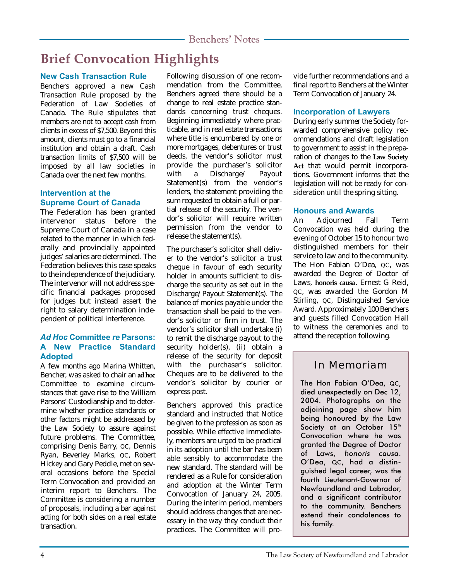# **Brief Convocation Highlights**

## **New Cash Transaction Rule**

Benchers approved a new Cash Transaction Rule proposed by the Federation of Law Societies of Canada. The Rule stipulates that members are not to accept cash from clients in excess of \$7,500. Beyond this amount, clients must go to a financial institution and obtain a draft. Cash transaction limits of \$7,500 will be imposed by all law societies in Canada over the next few months.

## **Intervention at the Supreme Court of Canada**

The Federation has been granted intervenor status before the Supreme Court of Canada in a case related to the manner in which federally and provincially appointed judges' salaries are determined. The Federation believes this case speaks to the independence of the judiciary. The intervenor will not address specific financial packages proposed for judges but instead assert the right to salary determination independent of political interference.

## *Ad Hoc* **Committee** *re* **Parsons: A New Practice Standard Adopted**

A few months ago Marina Whitten, Bencher, was asked to chair an **ad hoc** Committee to examine circumstances that gave rise to the William Parsons' Custodianship and to determine whether practice standards or other factors might be addressed by the Law Society to assure against future problems. The Committee, comprising Denis Barry, QC, Dennis Ryan, Beverley Marks, QC, Robert Hickey and Gary Peddle, met on several occasions before the Special Term Convocation and provided an interim report to Benchers. The Committee is considering a number of proposals, including a bar against acting for both sides on a real estate transaction.

Following discussion of one recommendation from the Committee, Benchers agreed there should be a change to real estate practice standards concerning trust cheques. Beginning immediately where practicable, and in real estate transactions where title is encumbered by one or more mortgages, debentures or trust deeds, the vendor's solicitor must provide the purchaser's solicitor with a Discharge/ Payout Statement(s) from the vendor's lenders, the statement providing the sum requested to obtain a full or partial release of the security. The vendor's solicitor will require written permission from the vendor to release the statement(s).

The purchaser's solicitor shall deliver to the vendor's solicitor a trust cheque in favour of each security holder in amounts sufficient to discharge the security as set out in the Discharge/Payout Statement(s). The balance of monies payable under the transaction shall be paid to the vendor's solicitor or firm in trust. The vendor's solicitor shall undertake (i) to remit the discharge payout to the security holder(s), (ii) obtain a release of the security for deposit with the purchaser's solicitor. Cheques are to be delivered to the vendor's solicitor by courier or express post.

Benchers approved this practice standard and instructed that Notice be given to the profession as soon as possible. While effective immediately, members are urged to be practical in its adoption until the bar has been able sensibly to accommodate the new standard. The standard will be rendered as a Rule for consideration and adoption at the Winter Term Convocation of January 24, 2005. During the interim period, members should address changes that are necessary in the way they conduct their practices. The Committee will provide further recommendations and a final report to Benchers at the Winter Term Convocation of January 24.

## **Incorporation of Lawyers**

During early summer the Society forwarded comprehensive policy recommendations and draft legislation to government to assist in the preparation of changes to the **Law Society Act** that would permit incorporations. Government informs that the legislation will not be ready for consideration until the spring sitting.

## **Honours and Awards**

An Adjourned Fall Term Convocation was held during the evening of October 15 to honour two distinguished members for their service to law and to the community. The Hon Fabian O'Dea, QC, was awarded the Degree of Doctor of Laws, **honoris causa**. Ernest G Reid, QC, was awarded the Gordon M Stirling, QC, Distinguished Service Award. Approximately 100 Benchers and guests filled Convocation Hall to witness the ceremonies and to attend the reception following.

## In Memoriam

The Hon Fabian O'Dea, QC, died unexpectedly on Dec 12, 2004. Photographs on the adjoining page show him being honoured by the Law Society at an October 15<sup>th</sup> Convocation where he was granted the Degree of Doctor of Laws, *honoris causa*. O'Dea, QC, had a distinguished legal career, was the fourth Lieutenant-Governor of Newfoundland and Labrador, and a significant contributor to the community. Benchers extend their condolences to his family.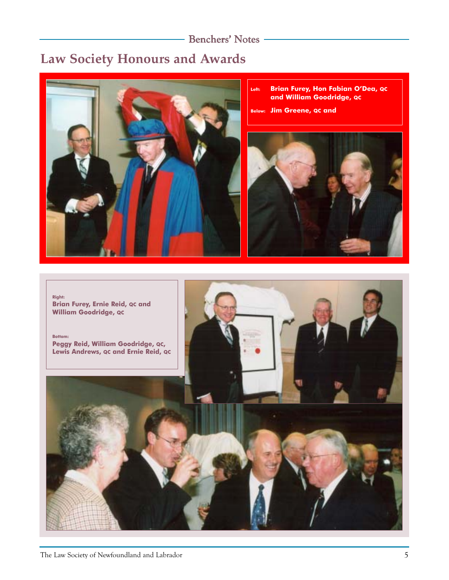## - Benchers' Notes -

# **Law Society Honours and Awards**



- **Left: Brian Furey, Hon Fabian O'Dea, QC and William Goodridge, QC**
- **Below: Jim Greene, QC and**



**Right: Brian Furey, Ernie Reid, QC and William Goodridge, QC**

**Bottom: Peggy Reid, William Goodridge, QC, Lewis Andrews, QC and Ernie Reid, QC**

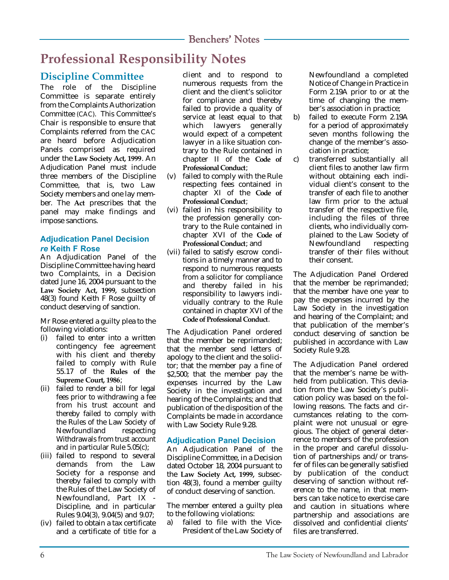# **Professional Responsibility Notes**

## **Discipline Committee**

The role of the Discipline Committee is separate entirely from the Complaints Authorization Committee (CAC). This Committee's Chair is responsible to ensure that Complaints referred from the CAC are heard before Adjudication Panels comprised as required under the **Law Society Act, 1999**. An Adjudication Panel must include three members of the Discipline Committee, that is, two Law Society members and one lay member. The **Act** prescribes that the panel may make findings and impose sanctions.

## **Adjudication Panel Decision** *re* **Keith F Rose**

An Adjudication Panel of the Discipline Committee having heard two Complaints, in a Decision dated June 16, 2004 pursuant to the **Law Society Act, 1999,** subsection 48(3) found Keith F Rose guilty of conduct deserving of sanction.

Mr Rose entered a guilty plea to the following violations:

- (i) failed to enter into a written contingency fee agreement with his client and thereby failed to comply with Rule 55.17 of the **Rules of the Supreme Court, 1986**;
- (ii) failed to render a bill for legal fees prior to withdrawing a fee from his trust account and thereby failed to comply with the Rules of the Law Society of Newfoundland respecting Withdrawals from trust account and in particular Rule 5.05(c);
- (iii) failed to respond to several demands from the Law Society for a response and thereby failed to comply with the Rules of the Law Society of Newfoundland, Part IX - Discipline, and in particular Rules 9.04(3), 9.04(5) and 9.07;
- (iv) failed to obtain a tax certificate and a certificate of title for a

client and to respond to numerous requests from the client and the client's solicitor for compliance and thereby failed to provide a quality of service at least equal to that which lawyers generally would expect of a competent lawyer in a like situation contrary to the Rule contained in chapter II of the **Code of Professional Conduct**;

- (v) failed to comply with the Rule respecting fees contained in chapter XI of the **Code of Professional Conduct**;
- (vi) failed in his responsibility to the profession generally contrary to the Rule contained in chapter XVI of the **Code of Professional Conduct**; and
- (vii) failed to satisfy escrow conditions in a timely manner and to respond to numerous requests from a solicitor for compliance and thereby failed in his responsibility to lawyers individually contrary to the Rule contained in chapter XVI of the **Code of Professional Conduct**.

The Adjudication Panel ordered that the member be reprimanded; that the member send letters of apology to the client and the solicitor; that the member pay a fine of \$2,500; that the member pay the expenses incurred by the Law Society in the investigation and hearing of the Complaints; and that publication of the disposition of the Complaints be made in accordance with Law Society Rule 9.28.

## **Adjudication Panel Decision**

An Adjudication Panel of the Discipline Committee, in a Decision dated October 18, 2004 pursuant to the **Law Society Act, 1999,** subsection 48(3), found a member guilty of conduct deserving of sanction.

The member entered a guilty plea to the following violations:

a) failed to file with the Vice-President of the Law Society of

Newfoundland a completed Notice of Change in Practice in Form 2.19A prior to or at the time of changing the member's association in practice;

- b) failed to execute Form 2.19A for a period of approximately seven months following the change of the member's association in practice;
- c) transferred substantially all client files to another law firm without obtaining each individual client's consent to the transfer of each file to another law firm prior to the actual transfer of the respective file, including the files of three clients, who individually complained to the Law Society of Newfoundland respecting transfer of their files without their consent.

The Adjudication Panel Ordered that the member be reprimanded; that the member have one year to pay the expenses incurred by the Law Society in the investigation and hearing of the Complaint; and that publication of the member's conduct deserving of sanction be published in accordance with Law Society Rule 9.28.

The Adjudication Panel ordered that the member's name be withheld from publication. This deviation from the Law Society's publication policy was based on the following reasons. The facts and circumstances relating to the complaint were not unusual or egregious. The object of general deterrence to members of the profession in the proper and careful dissolution of partnerships and/or transfer of files can be generally satisfied by publication of the conduct deserving of sanction without reference to the name, in that members can take notice to exercise care and caution in situations where partnership and associations are dissolved and confidential clients' files are transferred.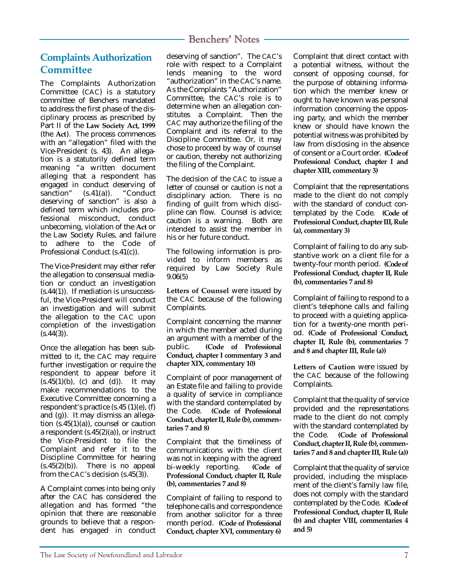## **Complaints Authorization Committee**

The Complaints Authorization Committee (CAC) is a statutory committee of Benchers mandated to address the first phase of the disciplinary process as prescribed by Part II of the **Law Society Act, 1999** (the **Act**). The process commences with an "allegation" filed with the Vice-President (s. 43). An allegation is a statutorily defined term meaning "a written document alleging that a respondent has engaged in conduct deserving of sanction" (s.41(a)). "Conduct deserving of sanction" is also a defined term which includes professional misconduct, conduct unbecoming, violation of the **Act** or the Law Society Rules, and failure to adhere to the Code of Professional Conduct (s.41(c)).

The Vice-President may either refer the allegation to consensual mediation or conduct an investigation (s.44(1)). If mediation is unsuccessful, the Vice-President will conduct an investigation and will submit the allegation to the CAC upon completion of the investigation  $(S.44(3))$ .

Once the allegation has been submitted to it, the CAC may require further investigation or require the respondent to appear before it  $(s.45(1)(b)$ , (c) and (d)). It may make recommendations to the Executive Committee concerning a respondent's practice (s.45 (1)(e), (f) and (g)). It may dismiss an allegation (s.45(1)(a)), counsel or caution a respondent (s.45(2)(a)), or instruct the Vice-President to file the Complaint and refer it to the Discipline Committee for hearing  $(s.45(2)(b))$ . There is no appeal from the CAC's decision (s.45(3)).

A Complaint comes into being only after the CAC has considered the allegation and has formed "the opinion that there are reasonable grounds to believe that a respondent has engaged in conduct

deserving of sanction". The CAC's role with respect to a Complaint lends meaning to the word "authorization" in the CAC's name. As the Complaints "Authorization" Committee, the CAC's role is to determine when an allegation constitutes a Complaint. Then the CAC may authorize the filing of the Complaint and its referral to the Discipline Committee. Or, it may chose to proceed by way of counsel or caution, thereby not authorizing the filing of the Complaint.

The decision of the CAC to issue a letter of counsel or caution is not a disciplinary action. There is no finding of guilt from which discipline can flow. Counsel is advice;<br>caution is a warning. Both are caution is a warning. intended to assist the member in his or her future conduct.

The following information is provided to inform members as required by Law Society Rule 9.06(5)

**Letters of Counsel** were issued by the CAC because of the following Complaints.

Complaint concerning the manner in which the member acted during an argument with a member of the public. **(Code of Professional Conduct, chapter I commentary 3 and chapter XIX, commentary 10)**

Complaint of poor management of an Estate file and failing to provide a quality of service in compliance with the standard contemplated by the Code. **(Code of Professional Conduct, chapter II, Rule (b), commentaries 7 and 8)**

Complaint that the timeliness of communications with the client was not in keeping with the agreed bi-weekly reporting. **(Code of Professional Conduct, chapter II, Rule (b), commentaries 7 and 8)**

Complaint of failing to respond to telephone calls and correspondence from another solicitor for a three month period. **(Code of Professional Conduct, chapter XVI, commentary 6)** Complaint that direct contact with a potential witness, without the consent of opposing counsel, for the purpose of obtaining information which the member knew or ought to have known was personal information concerning the opposing party, and which the member knew or should have known the potential witness was prohibited by law from disclosing in the absence of consent or a Court order. **(Code of Professional Conduct, chapter I and chapter XIII, commentary 3)**

Complaint that the representations made to the client do not comply with the standard of conduct contemplated by the Code. **(Code of Professional Conduct, chapter III, Rule (a), commentary 3)**

Complaint of failing to do any substantive work on a client file for a twenty-four month period. **(Code of Professional Conduct, chapter II, Rule (b), commentaries 7 and 8)**

Complaint of failing to respond to a client's telephone calls and failing to proceed with a quieting application for a twenty-one month period. **(Code of Professional Conduct, chapter II, Rule (b), commentaries 7 and 8 and chapter III, Rule (a))**

**Letters of Caution** were issued by the CAC because of the following Complaints.

Complaint that the quality of service provided and the representations made to the client do not comply with the standard contemplated by the Code. **(Code of Professional Conduct, chapter II, Rule (b), commentaries 7 and 8 and chapter III, Rule (a))**

Complaint that the quality of service provided, including the misplacement of the client's family law file, does not comply with the standard contemplated by the Code. **(Code of Professional Conduct, chapter II, Rule (b) and chapter VIII, commentaries 4 and 5)**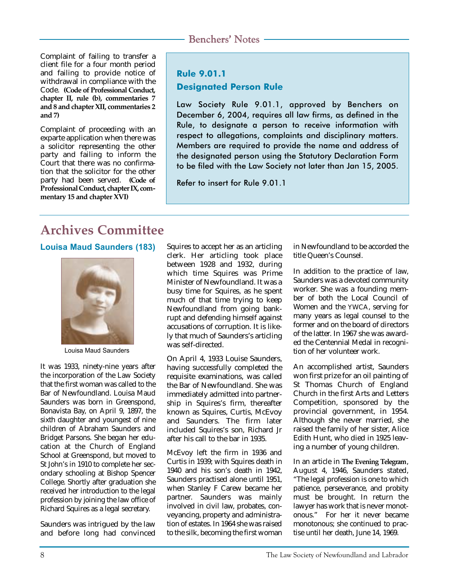Complaint of failing to transfer a client file for a four month period and failing to provide notice of withdrawal in compliance with the Code. **(Code of Professional Conduct, chapter II, rule (b), commentaries 7 and 8 and chapter XII, commentaries 2 and 7)**

Complaint of proceeding with an exparte application when there was a solicitor representing the other party and failing to inform the Court that there was no confirmation that the solicitor for the other party had been served. **(Code of Professional Conduct, chapter IX, commentary 15 and chapter XVI)**

## **Rule 9.01.1 Designated Person Rule**

Law Society Rule 9.01.1, approved by Benchers on December 6, 2004, requires all law firms, as defined in the Rule, to designate a person to receive information with respect to allegations, complaints and disciplinary matters. Members are required to provide the name and address of the designated person using the Statutory Declaration Form to be filed with the Law Society not later than Jan 15, 2005.

Refer to insert for Rule 9.01.1

# **Archives Committee**

## **Louisa Maud Saunders (183)** Squires to accept her as an articling



Louisa Maud Saunders

It was 1933, ninety-nine years after the incorporation of the Law Society that the first woman was called to the Bar of Newfoundland. Louisa Maud Saunders was born in Greenspond, Bonavista Bay, on April 9, 1897, the sixth daughter and youngest of nine children of Abraham Saunders and Bridget Parsons. She began her education at the Church of England School at Greenspond, but moved to St John's in 1910 to complete her secondary schooling at Bishop Spencer College. Shortly after graduation she received her introduction to the legal profession by joining the law office of Richard Squires as a legal secretary.

Saunders was intrigued by the law and before long had convinced clerk. Her articling took place between 1928 and 1932, during which time Squires was Prime Minister of Newfoundland. It was a busy time for Squires, as he spent much of that time trying to keep Newfoundland from going bankrupt and defending himself against accusations of corruption. It is likely that much of Saunders's articling was self-directed.

On April 4, 1933 Louise Saunders, having successfully completed the requisite examinations, was called the Bar of Newfoundland. She was immediately admitted into partnership in Squires's firm, thereafter known as Squires, Curtis, McEvoy and Saunders. The firm later included Squires's son, Richard Jr after his call to the bar in 1935.

McEvoy left the firm in 1936 and Curtis in 1939; with Squires death in 1940 and his son's death in 1942, Saunders practised alone until 1951, when Stanley F Carew became her partner. Saunders was mainly involved in civil law, probates, conveyancing, property and administration of estates. In 1964 she was raised to the silk, becoming the first woman in Newfoundland to be accorded the title Queen's Counsel.

In addition to the practice of law, Saunders was a devoted community worker. She was a founding member of both the Local Council of Women and the YWCA, serving for many years as legal counsel to the former and on the board of directors of the latter. In 1967 she was awarded the Centennial Medal in recognition of her volunteer work.

An accomplished artist, Saunders won first prize for an oil painting of St Thomas Church of England Church in the first Arts and Letters Competition, sponsored by the provincial government, in 1954. Although she never married, she raised the family of her sister, Alice Edith Hunt, who died in 1925 leaving a number of young children.

In an article in **The Evening Telegram**, August 4, 1946, Saunders stated, "The legal profession is one to which patience, perseverance, and probity must be brought. In return the lawyer has work that is never monotonous." For her it never became monotonous; she continued to practise until her death, June 14, 1969.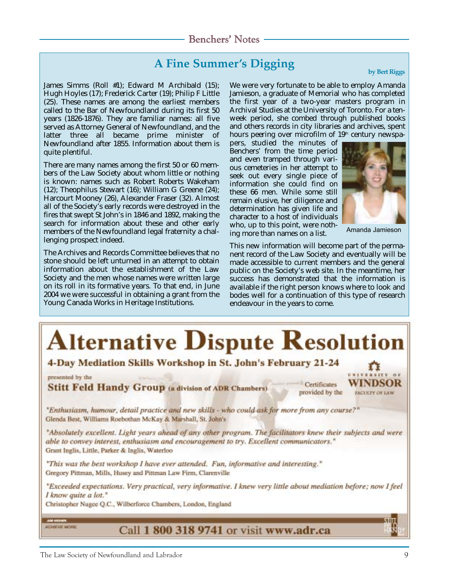# **A Fine Summer's Digging by Bert Riggs**

James Simms (Roll #1); Edward M Archibald (15); Hugh Hoyles (17); Frederick Carter (19); Philip F Little (25). These names are among the earliest members called to the Bar of Newfoundland during its first 50 years (1826-1876). They are familiar names: all five served as Attorney General of Newfoundland, and the latter three all became prime minister of Newfoundland after 1855. Information about them is quite plentiful.

There are many names among the first 50 or 60 members of the Law Society about whom little or nothing is known: names such as Robert Roberts Wakeham (12); Theophilus Stewart (16); William G Greene (24); Harcourt Mooney (26), Alexander Fraser (32). Almost all of the Society's early records were destroyed in the fires that swept St John's in 1846 and 1892, making the search for information about these and other early members of the Newfoundland legal fraternity a challenging prospect indeed.

The Archives and Records Committee believes that no stone should be left unturned in an attempt to obtain information about the establishment of the Law Society and the men whose names were written large on its roll in its formative years. To that end, in June 2004 we were successful in obtaining a grant from the Young Canada Works in Heritage Institutions.

We were very fortunate to be able to employ Amanda Jamieson, a graduate of Memorial who has completed the first year of a two-year masters program in Archival Studies at the University of Toronto. For a tenweek period, she combed through published books and others records in city libraries and archives, spent hours peering over microfilm of 19<sup>th</sup> century newspa-

pers, studied the minutes of Benchers' from the time period and even tramped through various cemeteries in her attempt to seek out every single piece of information she could find on these 66 men. While some still remain elusive, her diligence and determination has given life and character to a host of individuals who, up to this point, were nothing more than names on a list.



Amanda Jamieson

This new information will become part of the permanent record of the Law Society and eventually will be made accessible to current members and the general public on the Society's web site. In the meantime, her success has demonstrated that the information is available if the right person knows where to look and bodes well for a continuation of this type of research endeavour in the years to come.

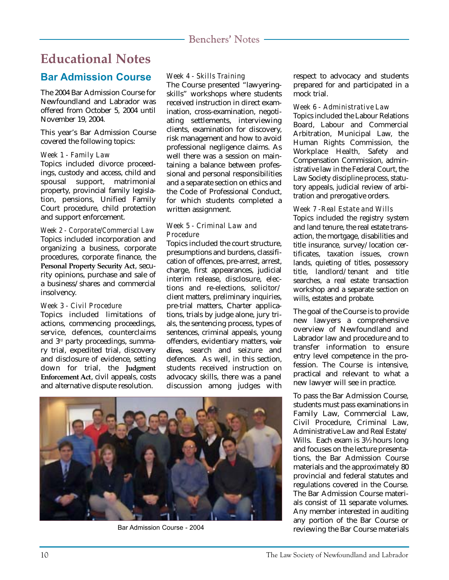## **Educational Notes**

## **Bar Admission Course**

The 2004 Bar Admission Course for Newfoundland and Labrador was offered from October 5, 2004 until November 19, 2004.

This year's Bar Admission Course covered the following topics:

### *Week 1 - Family Law*

Topics included divorce proceedings, custody and access, child and spousal support, matrimonial property, provincial family legislation, pensions, Unified Family Court procedure, child protection and support enforcement.

*Week 2 - Corporate/Commercial Law* Topics included incorporation and organizing a business, corporate procedures, corporate finance, the **Personal Property Security Act**, security opinions, purchase and sale of a business/shares and commercial insolvency.

### *Week 3 - Civil Procedure*

Topics included limitations of actions, commencing proceedings, service, defences, counterclaims and 3rd party proceedings, summary trial, expedited trial, discovery and disclosure of evidence, setting down for trial, the **Judgment Enforcement Act**, civil appeals, costs and alternative dispute resolution.

## *Week 4 - Skills Training*

The Course presented "lawyeringskills" workshops where students received instruction in direct examination, cross-examination, negotiating settlements, interviewing clients, examination for discovery, risk management and how to avoid professional negligence claims. As well there was a session on maintaining a balance between professional and personal responsibilities and a separate section on ethics and the Code of Professional Conduct, for which students completed a written assignment.

### *Week 5 - Criminal Law and Procedure*

Topics included the court structure, presumptions and burdens, classification of offences, pre-arrest, arrest, charge, first appearances, judicial interim release, disclosure, elections and re-elections, solicitor/ client matters, preliminary inquiries, pre-trial matters, Charter applications, trials by judge alone, jury trials, the sentencing process, types of sentences, criminal appeals, young offenders, evidentiary matters, **voir dires,** search and seizure and defences. As well, in this section, students received instruction on advocacy skills, there was a panel discussion among judges with



respect to advocacy and students prepared for and participated in a mock trial.

## *Week 6 - Administrative Law*

Topics included the Labour Relations Board, Labour and Commercial Arbitration, Municipal Law, the Human Rights Commission, the Workplace Health, Safety and Compensation Commission, administrative law in the Federal Court, the Law Society discipline process, statutory appeals, judicial review of arbitration and prerogative orders.

## *Week 7 -Real Estate and Wills*

Topics included the registry system and land tenure, the real estate transaction, the mortgage, disabilities and title insurance, survey/location certificates, taxation issues, crown lands, quieting of titles, possessory title, landlord/tenant and title searches, a real estate transaction workshop and a separate section on wills, estates and probate.

The goal of the Course is to provide new lawyers a comprehensive overview of Newfoundland and Labrador law and procedure and to transfer information to ensure entry level competence in the profession. The Course is intensive, practical and relevant to what a new lawyer will see in practice.

To pass the Bar Admission Course, students must pass examinations in Family Law, Commercial Law, Civil Procedure, Criminal Law, Administrative Law and Real Estate/ Wills. Each exam is 3½ hours long and focuses on the lecture presentations, the Bar Admission Course materials and the approximately 80 provincial and federal statutes and regulations covered in the Course. The Bar Admission Course materials consist of 11 separate volumes. Any member interested in auditing any portion of the Bar Course or Bar Admission Course - 2004 and the Bar Course materials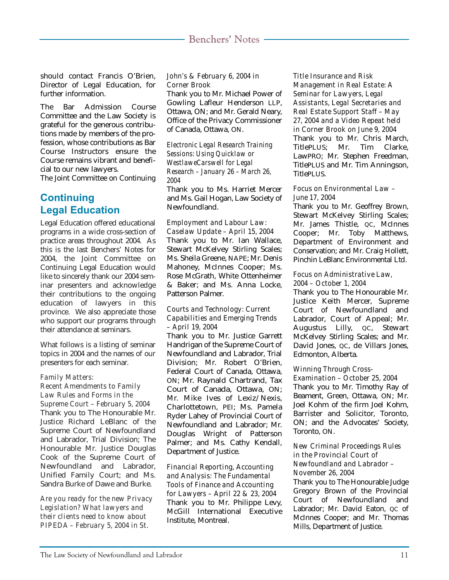should contact Francis O'Brien, Director of Legal Education, for further information.

The Bar Admission Course Committee and the Law Society is grateful for the generous contributions made by members of the profession, whose contributions as Bar Course Instructors ensure the Course remains vibrant and beneficial to our new lawyers.

The Joint Committee on Continuing

## **Continuing Legal Education**

Legal Education offered educational programs in a wide cross-section of practice areas throughout 2004. As this is the last Benchers' Notes for 2004, the Joint Committee on Continuing Legal Education would like to sincerely thank our 2004 seminar presenters and acknowledge their contributions to the ongoing education of lawyers in this province. We also appreciate those who support our programs through their attendance at seminars.

What follows is a listing of seminar topics in 2004 and the names of our presenters for each seminar.

#### *Family Matters:*

#### *Recent Amendments to Family Law Rules and Forms in the Supreme Court – February 5, 2004*

Thank you to The Honourable Mr. Justice Richard LeBlanc of the Supreme Court of Newfoundland and Labrador, Trial Division; The Honourable Mr. Justice Douglas Cook of the Supreme Court of Newfoundland and Labrador, Unified Family Court; and Ms. Sandra Burke of Dawe and Burke.

*Are you ready for the new Privacy Legislation? What lawyers and their clients need to know about PIPEDA – February 5, 2004 in St.*

#### *John's & February 6, 2004 in Corner Brook*

Thank you to Mr. Michael Power of Gowling Lafleur Henderson LLP, Ottawa, ON; and Mr. Gerald Neary, Office of the Privacy Commissioner of Canada, Ottawa, ON.

#### *Electronic Legal Research Training Sessions: Using Quicklaw or WestlaweCarswell for Legal Research – January 26 – March 26, 2004*

Thank you to Ms. Harriet Mercer and Ms. Gail Hogan, Law Society of Newfoundland.

#### *Employment and Labour Law: Caselaw Update – April 15, 2004*

Thank you to Mr. Ian Wallace, Stewart McKelvey Stirling Scales; Ms. Sheila Greene, NAPE; Mr. Denis Mahoney, McInnes Cooper; Ms. Rose McGrath, White Ottenheimer & Baker; and Ms. Anna Locke, Patterson Palmer.

#### *Courts and Technology: Current Capabilities and Emerging Trends – April 19, 2004*

Thank you to Mr. Justice Garrett Handrigan of the Supreme Court of Newfoundland and Labrador, Trial Division; Mr. Robert O'Brien, Federal Court of Canada, Ottawa, ON; Mr. Raynald Chartrand, Tax Court of Canada, Ottawa, ON; Mr. Mike Ives of Lexiz/Nexis, Charlottetown, PEI; Ms. Pamela Ryder Lahey of Provincial Court of Newfoundland and Labrador; Mr. Douglas Wright of Patterson Palmer; and Ms. Cathy Kendall, Department of Justice.

#### *Financial Reporting, Accounting and Analysis: The Fundamental Tools of Finance and Accounting for Lawyers – April 22 & 23, 2004* Thank you to Mr. Philippe Levy, McGill International Executive Institute, Montreal.

*Title Insurance and Risk Management in Real Estate: A Seminar for Lawyers, Legal Assistants, Legal Secretaries and Real Estate Support Staff – May 27, 2004 and a Video Repeat held in Corner Brook on June 9, 2004* Thank you to Mr. Chris March, TitlePLUS; Mr. Tim Clarke, LawPRO; Mr. Stephen Freedman, TitlePLUS and Mr. Tim Anningson, TitlePLUS.

#### *Focus on Environmental Law – June 17, 2004*

Thank you to Mr. Geoffrey Brown, Stewart McKelvey Stirling Scales; Mr. James Thistle, QC, McInnes Cooper; Mr. Toby Matthews, Department of Environment and Conservation; and Mr. Craig Hollett, Pinchin LeBlanc Environmental Ltd.

#### *Focus on Administrative Law, 2004 – October 1, 2004*

Thank you to The Honourable Mr. Justice Keith Mercer, Supreme Court of Newfoundland and Labrador, Court of Appeal; Mr. Augustus Lilly, QC, Stewart McKelvey Stirling Scales; and Mr. David Jones, QC, de Villars Jones, Edmonton, Alberta.

### *Winning Through Cross-*

*Examination – October 25, 2004*

Thank you to Mr. Timothy Ray of Beament, Green, Ottawa, ON; Mr. Joel Kohm of the firm Joel Kohm, Barrister and Solicitor, Toronto, ON; and the Advocates' Society, Toronto, ON.

#### *New Criminal Proceedings Rules in the Provincial Court of Newfoundland and Labrador – November 26, 2004*

Thank you to The Honourable Judge Gregory Brown of the Provincial Court of Newfoundland and Labrador; Mr. David Eaton, oc of McInnes Cooper; and Mr. Thomas Mills, Department of Justice.